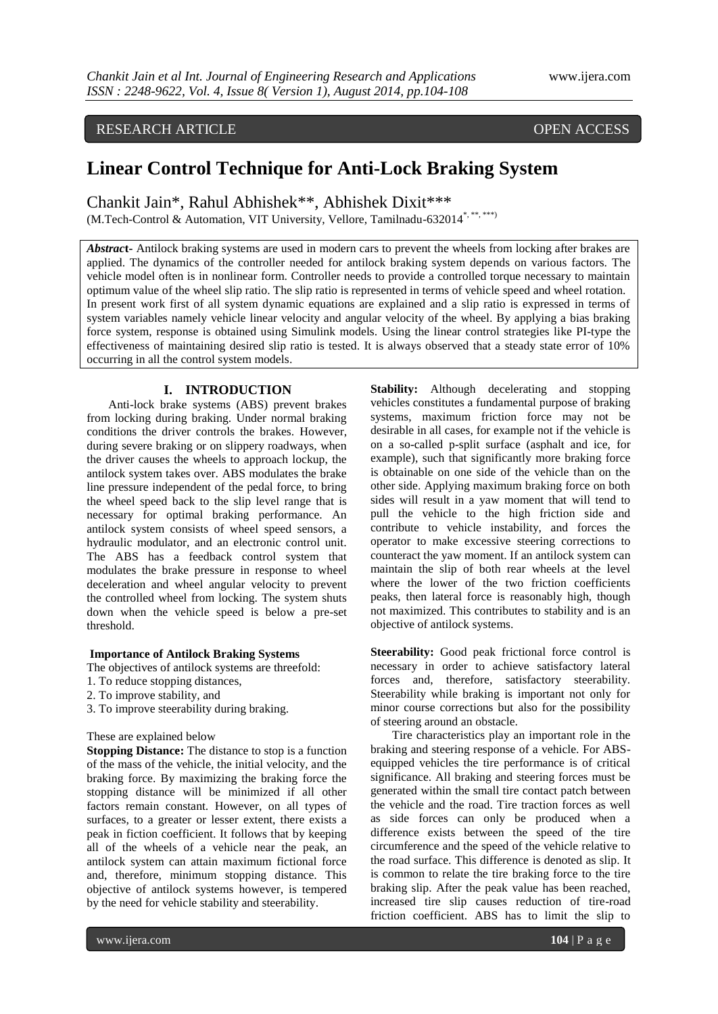RESEARCH ARTICLE OPEN ACCESS

# **Linear Control Technique for Anti-Lock Braking System**

Chankit Jain\*, Rahul Abhishek\*\*, Abhishek Dixit\*\*\* (M.Tech-Control & Automation, VIT University, Vellore, Tamilnadu-632014\*, \*\*, \*\*\*)

*Abstrac***t-** Antilock braking systems are used in modern cars to prevent the wheels from locking after brakes are applied. The dynamics of the controller needed for antilock braking system depends on various factors. The vehicle model often is in nonlinear form. Controller needs to provide a controlled torque necessary to maintain optimum value of the wheel slip ratio. The slip ratio is represented in terms of vehicle speed and wheel rotation. In present work first of all system dynamic equations are explained and a slip ratio is expressed in terms of system variables namely vehicle linear velocity and angular velocity of the wheel. By applying a bias braking force system, response is obtained using Simulink models. Using the linear control strategies like PI-type the effectiveness of maintaining desired slip ratio is tested. It is always observed that a steady state error of 10% occurring in all the control system models.

# **I. INTRODUCTION**

Anti-lock brake systems (ABS) prevent brakes from locking during braking. Under normal braking conditions the driver controls the brakes. However, during severe braking or on slippery roadways, when the driver causes the wheels to approach lockup, the antilock system takes over. ABS modulates the brake line pressure independent of the pedal force, to bring the wheel speed back to the slip level range that is necessary for optimal braking performance. An antilock system consists of wheel speed sensors, a hydraulic modulator, and an electronic control unit. The ABS has a feedback control system that modulates the brake pressure in response to wheel deceleration and wheel angular velocity to prevent the controlled wheel from locking. The system shuts down when the vehicle speed is below a pre-set threshold.

#### **Importance of Antilock Braking Systems**

The objectives of antilock systems are threefold:

- 1. To reduce stopping distances,
- 2. To improve stability, and
- 3. To improve steerability during braking.

These are explained below

**Stopping Distance:** The distance to stop is a function of the mass of the vehicle, the initial velocity, and the braking force. By maximizing the braking force the stopping distance will be minimized if all other factors remain constant. However, on all types of surfaces, to a greater or lesser extent, there exists a peak in fiction coefficient. It follows that by keeping all of the wheels of a vehicle near the peak, an antilock system can attain maximum fictional force and, therefore, minimum stopping distance. This objective of antilock systems however, is tempered by the need for vehicle stability and steerability.

**Stability:** Although decelerating and stopping vehicles constitutes a fundamental purpose of braking systems, maximum friction force may not be desirable in all cases, for example not if the vehicle is on a so-called p-split surface (asphalt and ice, for example), such that significantly more braking force is obtainable on one side of the vehicle than on the other side. Applying maximum braking force on both sides will result in a yaw moment that will tend to pull the vehicle to the high friction side and contribute to vehicle instability, and forces the operator to make excessive steering corrections to counteract the yaw moment. If an antilock system can maintain the slip of both rear wheels at the level where the lower of the two friction coefficients peaks, then lateral force is reasonably high, though not maximized. This contributes to stability and is an objective of antilock systems.

**Steerability:** Good peak frictional force control is necessary in order to achieve satisfactory lateral forces and, therefore, satisfactory steerability. Steerability while braking is important not only for minor course corrections but also for the possibility of steering around an obstacle.

Tire characteristics play an important role in the braking and steering response of a vehicle. For ABSequipped vehicles the tire performance is of critical significance. All braking and steering forces must be generated within the small tire contact patch between the vehicle and the road. Tire traction forces as well as side forces can only be produced when a difference exists between the speed of the tire circumference and the speed of the vehicle relative to the road surface. This difference is denoted as slip. It is common to relate the tire braking force to the tire braking slip. After the peak value has been reached, increased tire slip causes reduction of tire-road friction coefficient. ABS has to limit the slip to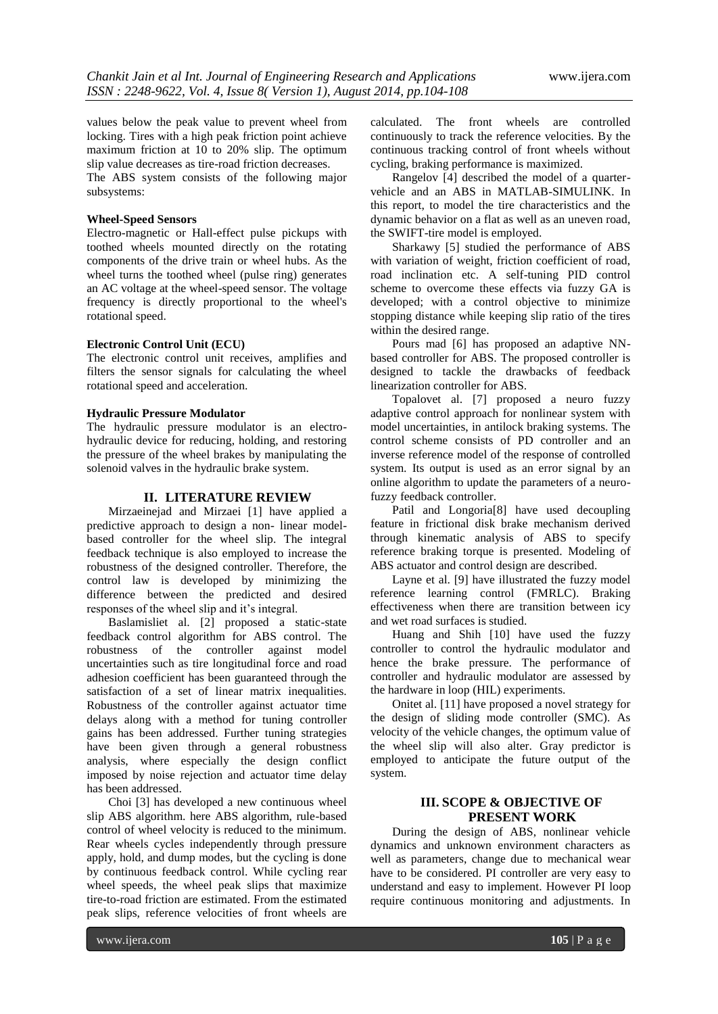values below the peak value to prevent wheel from locking. Tires with a high peak friction point achieve maximum friction at 10 to 20% slip. The optimum slip value decreases as tire-road friction decreases.

The ABS system consists of the following major subsystems:

#### **Wheel-Speed Sensors**

Electro-magnetic or Hall-effect pulse pickups with toothed wheels mounted directly on the rotating components of the drive train or wheel hubs. As the wheel turns the toothed wheel (pulse ring) generates an AC voltage at the wheel-speed sensor. The voltage frequency is directly proportional to the wheel's rotational speed.

#### **Electronic Control Unit (ECU)**

The electronic control unit receives, amplifies and filters the sensor signals for calculating the wheel rotational speed and acceleration.

#### **Hydraulic Pressure Modulator**

The hydraulic pressure modulator is an electrohydraulic device for reducing, holding, and restoring the pressure of the wheel brakes by manipulating the solenoid valves in the hydraulic brake system.

# **II. LITERATURE REVIEW**

Mirzaeinejad and Mirzaei [1] have applied a predictive approach to design a non- linear modelbased controller for the wheel slip. The integral feedback technique is also employed to increase the robustness of the designed controller. Therefore, the control law is developed by minimizing the difference between the predicted and desired responses of the wheel slip and it's integral.

Baslamisliet al. [2] proposed a static-state feedback control algorithm for ABS control. The robustness of the controller against model uncertainties such as tire longitudinal force and road adhesion coefficient has been guaranteed through the satisfaction of a set of linear matrix inequalities. Robustness of the controller against actuator time delays along with a method for tuning controller gains has been addressed. Further tuning strategies have been given through a general robustness analysis, where especially the design conflict imposed by noise rejection and actuator time delay has been addressed.

Choi [3] has developed a new continuous wheel slip ABS algorithm. here ABS algorithm, rule-based control of wheel velocity is reduced to the minimum. Rear wheels cycles independently through pressure apply, hold, and dump modes, but the cycling is done by continuous feedback control. While cycling rear wheel speeds, the wheel peak slips that maximize tire-to-road friction are estimated. From the estimated peak slips, reference velocities of front wheels are

calculated. The front wheels are controlled continuously to track the reference velocities. By the continuous tracking control of front wheels without cycling, braking performance is maximized.

Rangelov [4] described the model of a quartervehicle and an ABS in MATLAB-SIMULINK. In this report, to model the tire characteristics and the dynamic behavior on a flat as well as an uneven road, the SWIFT-tire model is employed.

Sharkawy [5] studied the performance of ABS with variation of weight, friction coefficient of road, road inclination etc. A self-tuning PID control scheme to overcome these effects via fuzzy GA is developed; with a control objective to minimize stopping distance while keeping slip ratio of the tires within the desired range.

Pours mad [6] has proposed an adaptive NNbased controller for ABS. The proposed controller is designed to tackle the drawbacks of feedback linearization controller for ABS.

Topalovet al. [7] proposed a neuro fuzzy adaptive control approach for nonlinear system with model uncertainties, in antilock braking systems. The control scheme consists of PD controller and an inverse reference model of the response of controlled system. Its output is used as an error signal by an online algorithm to update the parameters of a neurofuzzy feedback controller.

Patil and Longoria[8] have used decoupling feature in frictional disk brake mechanism derived through kinematic analysis of ABS to specify reference braking torque is presented. Modeling of ABS actuator and control design are described.

Layne et al. [9] have illustrated the fuzzy model reference learning control (FMRLC). Braking effectiveness when there are transition between icy and wet road surfaces is studied.

Huang and Shih [10] have used the fuzzy controller to control the hydraulic modulator and hence the brake pressure. The performance of controller and hydraulic modulator are assessed by the hardware in loop (HIL) experiments.

Onitet al. [11] have proposed a novel strategy for the design of sliding mode controller (SMC). As velocity of the vehicle changes, the optimum value of the wheel slip will also alter. Gray predictor is employed to anticipate the future output of the system.

# **III. SCOPE & OBJECTIVE OF PRESENT WORK**

During the design of ABS, nonlinear vehicle dynamics and unknown environment characters as well as parameters, change due to mechanical wear have to be considered. PI controller are very easy to understand and easy to implement. However PI loop require continuous monitoring and adjustments. In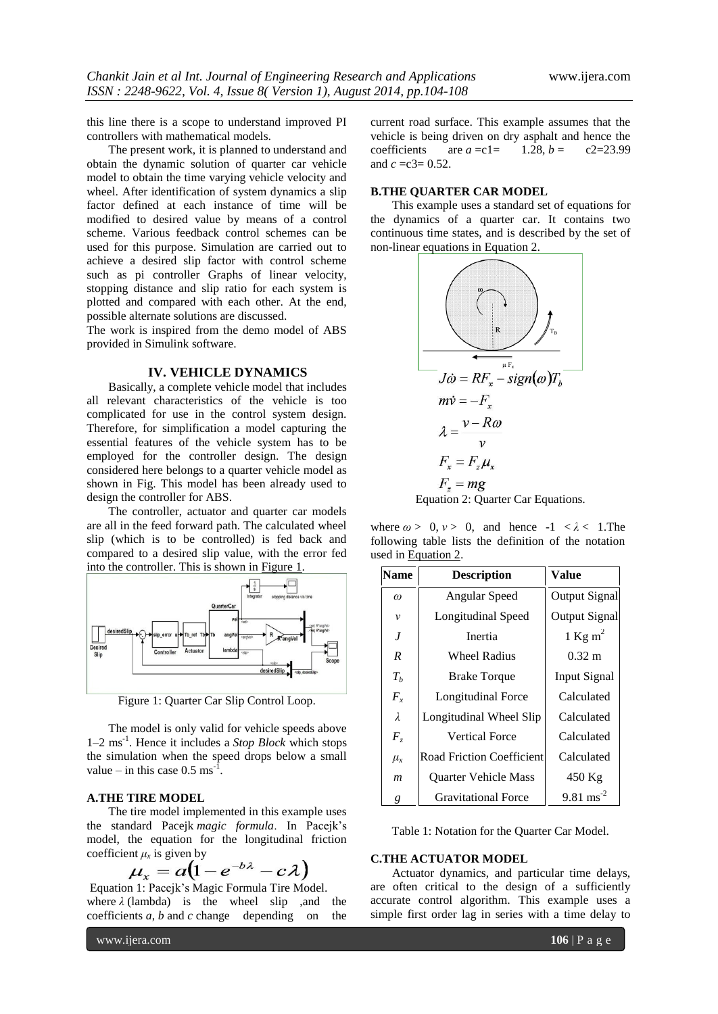this line there is a scope to understand improved PI controllers with mathematical models.

The present work, it is planned to understand and obtain the dynamic solution of quarter car vehicle model to obtain the time varying vehicle velocity and wheel. After identification of system dynamics a slip factor defined at each instance of time will be modified to desired value by means of a control scheme. Various feedback control schemes can be used for this purpose. Simulation are carried out to achieve a desired slip factor with control scheme such as pi controller Graphs of linear velocity, stopping distance and slip ratio for each system is plotted and compared with each other. At the end, possible alternate solutions are discussed.

The work is inspired from the demo model of ABS provided in Simulink software.

#### **IV. VEHICLE DYNAMICS**

Basically, a complete vehicle model that includes all relevant characteristics of the vehicle is too complicated for use in the control system design. Therefore, for simplification a model capturing the essential features of the vehicle system has to be employed for the controller design. The design considered here belongs to a quarter vehicle model as shown in Fig. This model has been already used to design the controller for ABS.

The controller, actuator and quarter car models are all in the feed forward path. The calculated wheel slip (which is to be controlled) is fed back and compared to a desired slip value, with the error fed into the controller. This is shown in [Figure 1.](http://www.goddardconsulting.ca/simulink-quarter-car-model.html#Figure1)



Figure 1: Quarter Car Slip Control Loop.

The model is only valid for vehicle speeds above 1–2 ms-1 . Hence it includes a *Stop Block* which stops the simulation when the speed drops below a small value – in this case  $0.5 \text{ ms}^{-1}$ .

# **A.THE TIRE MODEL**

The tire model implemented in this example uses the standard Pacejk *magic formula*. In Pacejk's model, the equation for the longitudinal friction coefficient  $\mu_x$  is given by

$$
u_x = a(1 - e^{-b\lambda} - c\lambda)
$$

Equation 1: Pacejk's Magic Formula Tire Model. where  $\lambda$  (lambda) is the wheel slip , and the coefficients *a*, *b* and *c* change depending on the

current road surface. This example assumes that the vehicle is being driven on dry asphalt and hence the coefficients are  $a = c1 = 1.28$ ,  $b = c2 = 23.99$ and *c* =c3= 0.52.

### **B.THE QUARTER CAR MODEL**

This example uses a standard set of equations for the dynamics of a quarter car. It contains two continuous time states, and is described by the set of non-linear equations in [Equation 2.](http://www.goddardconsulting.ca/simulink-quarter-car-model.html#equation2)



where  $\omega > 0$ ,  $\nu > 0$ , and hence  $-1 < \lambda < 1$ . The following table lists the definition of the notation used in Equation 2.

| Name          | <b>Description</b>               | Value                  |
|---------------|----------------------------------|------------------------|
| $\omega$      | Angular Speed                    | Output Signal          |
| ν             | Longitudinal Speed               | Output Signal          |
| J             | Inertia                          | 1 Kg m <sup>2</sup>    |
| R             | <b>Wheel Radius</b>              | $0.32 \text{ m}$       |
| $T_h$         | <b>Brake Torque</b>              | <b>Input Signal</b>    |
| $F_{x}$       | Longitudinal Force               | Calculated             |
| $\lambda$     | Longitudinal Wheel Slip          | Calculated             |
| $F_z$         | <b>Vertical Force</b>            | Calculated             |
| $\mu_{\rm x}$ | <b>Road Friction Coefficient</b> | Calculated             |
| m             | <b>Ouarter Vehicle Mass</b>      | 450 Kg                 |
| g             | <b>Gravitational Force</b>       | $9.81 \text{ ms}^{-2}$ |

Table 1: Notation for the Quarter Car Model.

#### **C.THE ACTUATOR MODEL**

Actuator dynamics, and particular time delays, are often critical to the design of a sufficiently accurate control algorithm. This example uses a simple first order lag in series with a time delay to

www.ijera.com **106** | P a g e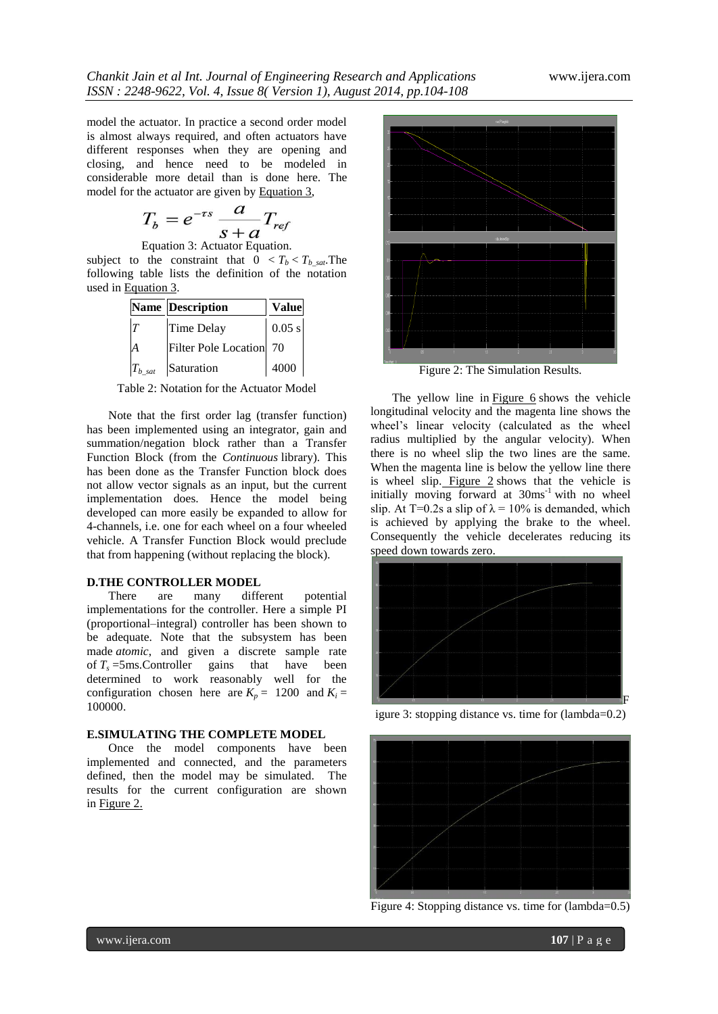model the actuator. In practice a second order model is almost always required, and often actuators have different responses when they are opening and closing, and hence need to be modeled in considerable more detail than is done here. The model for the actuator are given by [Equation 3,](http://www.goddardconsulting.ca/simulink-quarter-car-model.html#equation3)

$$
T_b = e^{-\tau s} \frac{a}{s+a} T_{re_j}
$$

Equation 3: Actuator Equation.

subject to the constraint that  $0 < T_b < T_b$  sat. The following table lists the definition of the notation used in Equation 3.

|              | <b>Name Description</b> | <b>Value</b> |
|--------------|-------------------------|--------------|
| T            | Time Delay              | $0.05$ s     |
| A            | Filter Pole Location 70 |              |
| $T_{b\_sat}$ | Saturation              | 4000         |

Table 2: Notation for the Actuator Model

Note that the first order lag (transfer function) has been implemented using an integrator, gain and summation/negation block rather than a Transfer Function Block (from the *Continuous* library). This has been done as the Transfer Function block does not allow vector signals as an input, but the current implementation does. Hence the model being developed can more easily be expanded to allow for 4-channels, i.e. one for each wheel on a four wheeled vehicle. A Transfer Function Block would preclude that from happening (without replacing the block).

### **D.THE CONTROLLER MODEL**

There are many different potential implementations for the controller. Here a simple PI (proportional–integral) controller has been shown to be adequate. Note that the subsystem has been made *atomic*, and given a discrete sample rate of  $T_s$  =5ms. Controller gains that have been determined to work reasonably well for the configuration chosen here are  $K_p = 1200$  and  $K_i =$ 100000.

## **E.SIMULATING THE COMPLETE MODEL**

Once the model components have been implemented and connected, and the parameters defined, then the model may be simulated. The results for the current configuration are shown in Figure 2.



Figure 2: The Simulation Results.

The yellow line in Figure  $6$  shows the vehicle longitudinal velocity and the magenta line shows the wheel's linear velocity (calculated as the wheel radius multiplied by the angular velocity). When there is no wheel slip the two lines are the same. When the magenta line is below the yellow line there is wheel slip. Figure 2 shows that the vehicle is initially moving forward at  $30ms^{-1}$  with no wheel slip. At T=0.2s a slip of  $\lambda = 10\%$  is demanded, which is achieved by applying the brake to the wheel. Consequently the vehicle decelerates reducing its speed down towards zero.



igure 3: stopping distance vs. time for (lambda=0.2)



Figure 4: Stopping distance vs. time for (lambda=0.5)